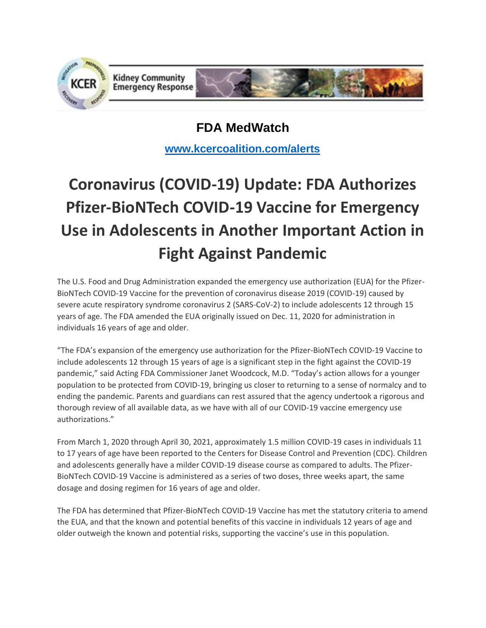

**FDA MedWatch**

**[www.kcercoalition.com/alerts](http://www.kcercoalition.com/alerts)**

# **Coronavirus (COVID-19) Update: FDA Authorizes Pfizer-BioNTech COVID-19 Vaccine for Emergency Use in Adolescents in Another Important Action in Fight Against Pandemic**

The U.S. Food and Drug Administration expanded the emergency use authorization (EUA) for the Pfizer-BioNTech COVID-19 Vaccine for the prevention of coronavirus disease 2019 (COVID-19) caused by severe acute respiratory syndrome coronavirus 2 (SARS-CoV-2) to include adolescents 12 through 15 years of age. The FDA amended the EUA originally issued on Dec. 11, 2020 for administration in individuals 16 years of age and older.

"The FDA's expansion of the emergency use authorization for the Pfizer-BioNTech COVID-19 Vaccine to include adolescents 12 through 15 years of age is a significant step in the fight against the COVID-19 pandemic," said Acting FDA Commissioner Janet Woodcock, M.D. "Today's action allows for a younger population to be protected from COVID-19, bringing us closer to returning to a sense of normalcy and to ending the pandemic. Parents and guardians can rest assured that the agency undertook a rigorous and thorough review of all available data, as we have with all of our COVID-19 vaccine emergency use authorizations."

From March 1, 2020 through April 30, 2021, approximately 1.5 million COVID-19 cases in individuals 11 to 17 years of age have been reported to the Centers for Disease Control and Prevention (CDC). Children and adolescents generally have a milder COVID-19 disease course as compared to adults. The Pfizer-BioNTech COVID-19 Vaccine is administered as a series of two doses, three weeks apart, the same dosage and dosing regimen for 16 years of age and older.

The FDA has determined that Pfizer-BioNTech COVID-19 Vaccine has met the statutory criteria to amend the EUA, and that the known and potential benefits of this vaccine in individuals 12 years of age and older outweigh the known and potential risks, supporting the vaccine's use in this population.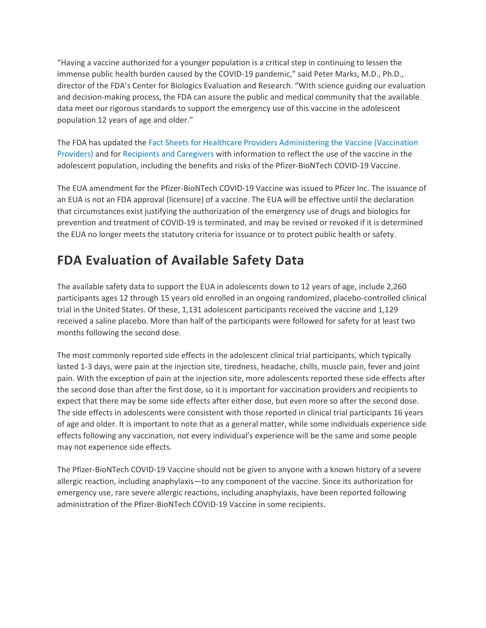"Having a vaccine authorized for a younger population is a critical step in continuing to lessen the immense public health burden caused by the COVID-19 pandemic," said Peter Marks, M.D., Ph.D., director of the FDA's Center for Biologics Evaluation and Research. "With science guiding our evaluation and decision-making process, the FDA can assure the public and medical community that the available data meet our rigorous standards to support the emergency use of this vaccine in the adolescent population 12 years of age and older."

The FDA has updated the [Fact Sheets for Healthcare Providers Administering the Vaccine \(Vaccination](https://www.fda.gov/media/144413/download)  [Providers\)](https://www.fda.gov/media/144413/download) and for [Recipients and Caregivers](https://www.fda.gov/media/144414/download) with information to reflect the use of the vaccine in the adolescent population, including the benefits and risks of the Pfizer-BioNTech COVID-19 Vaccine.

The EUA amendment for the Pfizer-BioNTech COVID-19 Vaccine was issued to Pfizer Inc. The issuance of an EUA is not an FDA approval (licensure) of a vaccine. The EUA will be effective until the declaration that circumstances exist justifying the authorization of the emergency use of drugs and biologics for prevention and treatment of COVID-19 is terminated, and may be revised or revoked if it is determined the EUA no longer meets the statutory criteria for issuance or to protect public health or safety.

## **FDA Evaluation of Available Safety Data**

The available safety data to support the EUA in adolescents down to 12 years of age, include 2,260 participants ages 12 through 15 years old enrolled in an ongoing randomized, placebo-controlled clinical trial in the United States. Of these, 1,131 adolescent participants received the vaccine and 1,129 received a saline placebo. More than half of the participants were followed for safety for at least two months following the second dose.

The most commonly reported side effects in the adolescent clinical trial participants, which typically lasted 1-3 days, were pain at the injection site, tiredness, headache, chills, muscle pain, fever and joint pain. With the exception of pain at the injection site, more adolescents reported these side effects after the second dose than after the first dose, so it is important for vaccination providers and recipients to expect that there may be some side effects after either dose, but even more so after the second dose. The side effects in adolescents were consistent with those reported in clinical trial participants 16 years of age and older. It is important to note that as a general matter, while some individuals experience side effects following any vaccination, not every individual's experience will be the same and some people may not experience side effects.

The Pfizer-BioNTech COVID-19 Vaccine should not be given to anyone with a known history of a severe allergic reaction, including anaphylaxis—to any component of the vaccine. Since its authorization for emergency use, rare severe allergic reactions, including anaphylaxis, have been reported following administration of the Pfizer-BioNTech COVID-19 Vaccine in some recipients.